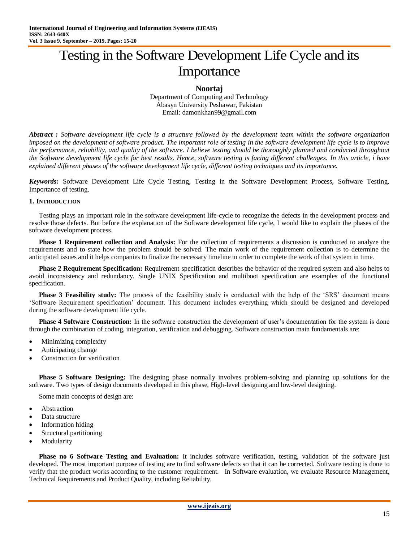# Testing in the Software Development Life Cycle and its Importance

#### **Noortaj**

Department of Computing and Technology Abasyn University Peshawar, Pakistan Email: damonkhan99@gmail.com

*Abstract : Software development life cycle is a structure followed by the development team within the software organization imposed on the development of software product. The important role of testing in the software development life cycle is to improve the performance, reliability, and quality of the software. I believe testing should be thoroughly planned and conducted throughout the Software development life cycle for best results. Hence, software testing is facing different challenges. In this article, i have explained different phases of the software development life cycle, different testing techniques and its importance.*

*Keywords:* Software Development Life Cycle Testing, Testing in the Software Development Process, Software Testing, Importance of testing.

#### **1. INTRODUCTION**

Testing plays an important role in the software development life-cycle to recognize the defects in the development process and resolve those defects. But before the explanation of the Software development life cycle, I would like to explain the phases of the software development process.

**Phase 1 Requirement collection and Analysis:** For the collection of requirements a discussion is conducted to analyze the requirements and to state how the problem should be solved. The main work of the requirement collection is to determine the anticipated issues and it helps companies to finalize the necessary timeline in order to complete the work of that system in time.

**Phase 2 Requirement Specification:** Requirement specification describes the behavior of the required system and also helps to avoid inconsistency and redundancy. Single UNIX Specification and multiboot specification are examples of the functional specification.

**Phase 3 Feasibility study:** The process of the feasibility study is conducted with the help of the 'SRS' document means "Software Requirement specification" document. This document includes everything which should be designed and developed during the software development life cycle.

**Phase 4 Software Construction:** In the software construction the development of user's documentation for the system is done through the combination of coding, integration, verification and debugging. Software construction main fundamentals are:

- Minimizing complexity
- Anticipating change
- Construction for verification

**Phase 5 Software Designing:** The designing phase normally involves problem-solving and planning up solutions for the software. Two types of design documents developed in this phase, High-level designing and low-level designing.

Some main concepts of design are:

- Abstraction
- Data structure
- Information hiding
- Structural partitioning
- Modularity

**Phase no 6 Software Testing and Evaluation:** It includes software verification, testing, validation of the software just developed. The most important purpose of testing are to find software defects so that it can be corrected. Software testing is done to verify that the product works according to the customer requirement. In Software evaluation, we evaluate Resource Management, Technical Requirements and Product Quality, including Reliability.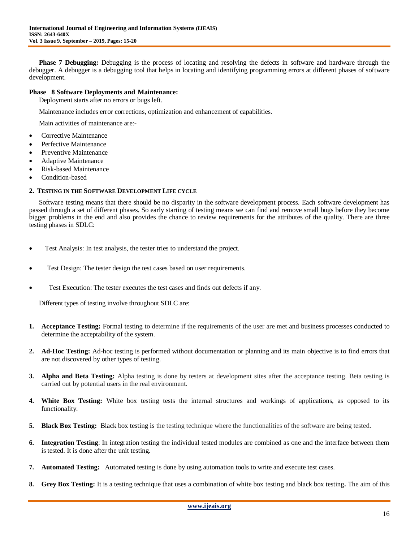**Phase 7 Debugging:** Debugging is the process of locating and resolving the defects in software and hardware through the debugger. A debugger is a debugging tool that helps in locating and identifying programming errors at different phases of software development.

## **Phase 8 Software Deployments and Maintenance:**

Deployment starts after no errors or bugs left.

Maintenance includes error corrections, optimization and enhancement of capabilities.

Main activities of maintenance are:-

- Corrective Maintenance
- Perfective Maintenance
- Preventive Maintenance
- Adaptive Maintenance
- Risk-based Maintenance
- Condition-based

## **2. TESTING IN THE SOFTWARE DEVELOPMENT LIFE CYCLE**

Software testing means that there should be no disparity in the software development process. Each software development has passed through a set of different phases. So early starting of testing means we can find and remove small bugs before they become bigger problems in the end and also provides the chance to review requirements for the attributes of the quality. There are three testing phases in SDLC:

- Test Analysis: In test analysis, the tester tries to understand the project.
- Test Design: The tester design the test cases based on user requirements.
- Test Execution: The tester executes the test cases and finds out defects if any.

Different types of testing involve throughout SDLC are:

- **1. Acceptance Testing:** Formal testing to determine if the requirements of the user are met and business processes conducted to determine the acceptability of the system.
- **2. Ad-Hoc Testing:** Ad-hoc testing is performed without documentation or planning and its main objective is to find errors that are not discovered by other types of testing.
- **3. Alpha and Beta Testing:** Alpha testing is done by testers at development sites after the acceptance testing. Beta testing is carried out by potential users in the real environment.
- **4. White Box Testing:** White box testing tests the internal structures and workings of applications, as opposed to its functionality.
- **5. Black Box Testing:** Black box testing is the testing technique where the functionalities of the software are being tested.
- **6. Integration Testing**: In integration testing the individual tested modules are combined as one and the interface between them is tested. It is done after the unit testing.
- **7. Automated Testing:** Automated testing is done by using automation tools to write and execute test cases.
- **8. Grey Box Testing:** It is a testing technique that uses a combination of white box testing and black box testing**.** The aim of this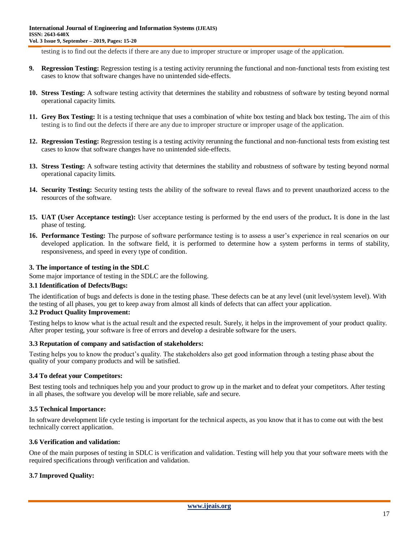testing is to find out the defects if there are any due to improper structure or improper usage of the application.

- **9. Regression Testing:** Regression testing is a testing activity rerunning the functional and non-functional tests from existing test cases to know that software changes have no unintended side-effects.
- **10. Stress Testing:** A software testing activity that determines the stability and robustness of software by testing beyond normal operational capacity limits.
- **11. Grey Box Testing:** It is a testing technique that uses a combination of white box testing and black box testing**.** The aim of this testing is to find out the defects if there are any due to improper structure or improper usage of the application.
- **12. Regression Testing:** Regression testing is a testing activity rerunning the functional and non-functional tests from existing test cases to know that software changes have no unintended side-effects.
- **13. Stress Testing:** A software testing activity that determines the stability and robustness of software by testing beyond normal operational capacity limits.
- **14. Security Testing:** Security testing tests the ability of the software to reveal flaws and to prevent unauthorized access to the resources of the software.
- **15. UAT (User Acceptance testing):** User acceptance testing is performed by the end users of the product**.** It is done in the last phase of testing.
- **16. Performance Testing:** The purpose of software performance testing is to assess a user's experience in real scenarios on our developed application. In the software field, it is performed to determine how a system performs in terms of stability, responsiveness, and speed in every type of condition.

## **3. The importance of testing in the SDLC**

Some major importance of testing in the SDLC are the following.

#### **3.1 Identification of Defects/Bugs:**

The identification of bugs and defects is done in the testing phase. These defects can be at any level (unit level/system level). With the testing of all phases, you get to keep away from almost all kinds of defects that can affect your application.

#### **3.2 Product Quality Improvement:**

Testing helps to know what is the actual result and the expected result. Surely, it helps in the improvement of your product quality. After proper testing, your software is free of errors and develop a desirable software for the users.

## **3.3 Reputation of company and satisfaction of stakeholders:**

Testing helps you to know the product"s quality. The stakeholders also get good information through a testing phase about the quality of your company products and will be satisfied.

## **3.4 To defeat your Competitors:**

Best testing tools and techniques help you and your product to grow up in the market and to defeat your competitors. After testing in all phases, the software you develop will be more reliable, safe and secure.

#### **3.5 Technical Importance:**

In software development life cycle testing is important for the technical aspects, as you know that it has to come out with the best technically correct application.

#### **3.6 Verification and validation:**

One of the main purposes of testing in SDLC is verification and validation. Testing will help you that your software meets with the required specifications through verification and validation.

## **3.7 Improved Quality:**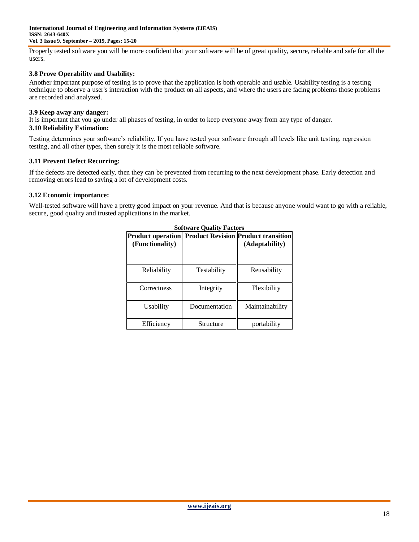Properly tested software you will be more confident that your software will be of great quality, secure, reliable and safe for all the users.

## **3.8 Prove Operability and Usability:**

Another important purpose of testing is to prove that the application is both operable and usable. Usability testing is a testing technique to observe a user's interaction with the product on all aspects, and where the users are facing problems those problems are recorded and analyzed.

## **3.9 Keep away any danger:**

It is important that you go under all phases of testing, in order to keep everyone away from any type of danger.

## **3.10 Reliability Estimation:**

Testing determines your software"s reliability. If you have tested your software through all levels like unit testing, regression testing, and all other types, then surely it is the most reliable software.

## **3.11 Prevent Defect Recurring:**

If the defects are detected early, then they can be prevented from recurring to the next development phase. Early detection and removing errors lead to saving a lot of development costs.

## **3.12 Economic importance:**

Well-tested software will have a pretty good impact on your revenue. And that is because anyone would want to go with a reliable, secure, good quality and trusted applications in the market.

| (Functionality) | <b>Product operation Product Revision Product transition</b> | (Adaptability)  |
|-----------------|--------------------------------------------------------------|-----------------|
| Reliability     | Testability                                                  | Reusability     |
| Correctness     | Integrity                                                    | Flexibility     |
| Usability       | Documentation                                                | Maintainability |
| Efficiency      | Structure                                                    | portability     |

**Software Quality Fact**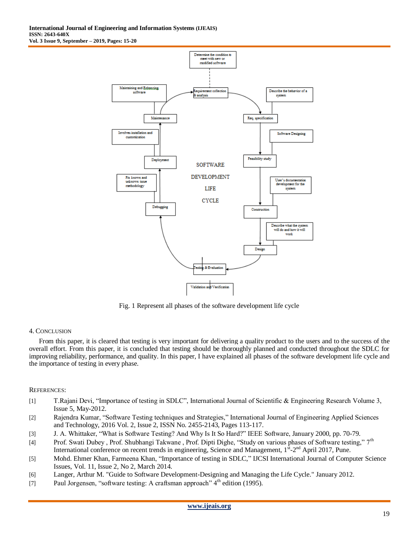

Fig. 1 Represent all phases of the software development life cycle

## 4. CONCLUSION

From this paper, it is cleared that testing is very important for delivering a quality product to the users and to the success of the overall effort. From this paper, it is concluded that testing should be thoroughly planned and conducted throughout the SDLC for improving reliability, performance, and quality. In this paper, I have explained all phases of the software development life cycle and the importance of testing in every phase.

## REFERENCES:

- [1] T.Rajani Devi, "Importance of testing in SDLC", International Journal of Scientific & Engineering Research Volume 3, Issue 5, May-2012.
- [2] Rajendra Kumar, "Software Testing techniques and Strategies," International Journal of Engineering Applied Sciences and Technology, 2016 Vol. 2, Issue 2, ISSN No. 2455-2143, Pages 113-117.
- [3] J. A. Whittaker, "What is Software Testing? And Why Is It So Hard?" IEEE Software, January 2000, pp. 70-79.
- [4] Prof. Swati Dubey, Prof. Shubhangi Takwane, Prof. Dipti Dighe, "Study on various phases of Software testing," 7<sup>th</sup> International conference on recent trends in engineering, Science and Management, 1<sup>st</sup>-2<sup>nd</sup> April 2017, Pune.
- [5] Mohd. Ehmer Khan, Farmeena Khan, "Importance of testing in SDLC," IJCSI International Journal of Computer Science Issues, Vol. 11, Issue 2, No 2, March 2014.
- [6] Langer, Arthur M. "Guide to Software Development-Designing and Managing the Life Cycle." January 2012.
- [7] Paul Jorgensen, "software testing: A craftsman approach" 4<sup>th</sup> edition (1995).